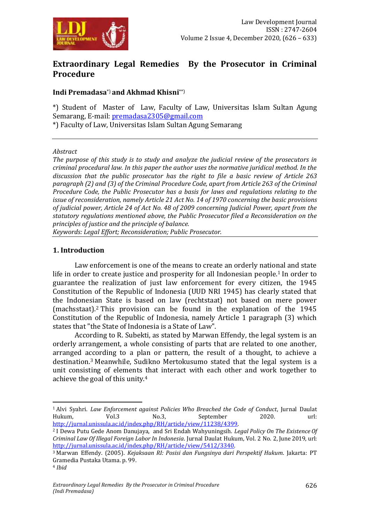

# **Extraordinary Legal Remedies By the Prosecutor in Criminal Procedure**

# **Indi Premadasa**\*) **and Akhmad Khisni**\*\*)

\*) Student of Master of Law, Faculty of Law, Universitas Islam Sultan Agung Semarang, E-mail: [premadasa2305@gmail.com](mailto:premadasa2305@gmail.com) \*) Faculty of Law, Universitas Islam Sultan Agung Semarang

#### *Abstract*

*The purpose of this study is to study and analyze the judicial review of the prosecutors in criminal procedural law. In this paper the author uses the normative juridical method. In the discussion that the public prosecutor has the right to file a basic review of Article 263 paragraph (2) and (3) of the Criminal Procedure Code, apart from Article 263 of the Criminal Procedure Code, the Public Prosecutor has a basis for laws and regulations relating to the issue of reconsideration, namely Article 21 Act No. 14 of 1970 concerning the basic provisions of judicial power, Article 24 of Act No. 48 of 2009 concerning Judicial Power, apart from the statutory regulations mentioned above, the Public Prosecutor filed a Reconsideration on the principles of justice and the principle of balance.*

*Keywords: Legal Effort; Reconsideration; Public Prosecutor.*

### **1. Introduction**

Law enforcement is one of the means to create an orderly national and state life in order to create justice and prosperity for all Indonesian people.<sup>1</sup> In order to guarantee the realization of just law enforcement for every citizen, the 1945 Constitution of the Republic of Indonesia (UUD NRI 1945) has clearly stated that the Indonesian State is based on law (rechtstaat) not based on mere power (machsstaat).<sup>2</sup> This provision can be found in the explanation of the 1945 Constitution of the Republic of Indonesia, namely Article 1 paragraph (3) which states that "the State of Indonesia is a State of Law".

According to R. Subekti, as stated by Marwan Effendy, the legal system is an orderly arrangement, a whole consisting of parts that are related to one another, arranged according to a plan or pattern, the result of a thought, to achieve a destination.<sup>3</sup> Meanwhile, Sudikno Mertokusumo stated that the legal system is a unit consisting of elements that interact with each other and work together to achieve the goal of this unity.<sup>4</sup>

<sup>1</sup> Alvi Syahri. *Law Enforcement against Policies Who Breached the Code of Conduct*, Jurnal Daulat Hukum, Vol.3 No.3, September 2020. url: [http://jurnal.unissula.ac.id/index.php/RH/article/view/11238/4399.](http://jurnal.unissula.ac.id/index.php/RH/article/view/11238/4399)

<sup>2</sup> I Dewa Putu Gede Anom Danujaya, and Sri Endah Wahyuningsih. *Legal Policy On The Existence Of Criminal Law Of Illegal Foreign Labor In Indonesia*. Jurnal Daulat Hukum, Vol. 2 No. 2, June 2019, url: [http://jurnal.unissula.ac.id/index.php/RH/article/view/5412/3340.](http://jurnal.unissula.ac.id/index.php/RH/article/view/5412/3340)

<sup>3</sup> Marwan Effendy. (2005). *Kejaksaan RI: Posisi dan Fungsinya dari Perspektif Hukum*. Jakarta: PT Gramedia Pustaka Utama. p. 99.

<sup>4</sup> *Ibid*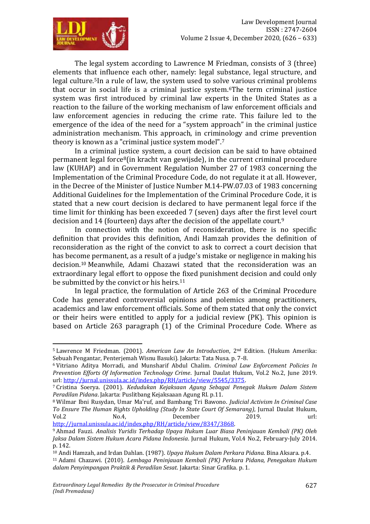Law Development Journal

ISSN : 2747-2604

The legal system according to Lawrence M Friedman, consists of 3 (three) elements that influence each other, namely: legal substance, legal structure, and legal culture.5In a rule of law, the system used to solve various criminal problems that occur in social life is a criminal justice system.6The term criminal justice system was first introduced by criminal law experts in the United States as a reaction to the failure of the working mechanism of law enforcement officials and law enforcement agencies in reducing the crime rate. This failure led to the emergence of the idea of the need for a "system approach" in the criminal justice administration mechanism. This approach, in criminology and crime prevention theory is known as a "criminal justice system model".<sup>7</sup>

In a criminal justice system, a court decision can be said to have obtained permanent legal force8(in kracht van gewijsde), in the current criminal procedure law (KUHAP) and in Government Regulation Number 27 of 1983 concerning the Implementation of the Criminal Procedure Code, do not regulate it at all. However, in the Decree of the Minister of Justice Number M.14-PW.07.03 of 1983 concerning Additional Guidelines for the Implementation of the Criminal Procedure Code, it is stated that a new court decision is declared to have permanent legal force if the time limit for thinking has been exceeded 7 (seven) days after the first level court decision and 14 (fourteen) days after the decision of the appellate court.<sup>9</sup>

In connection with the notion of reconsideration, there is no specific definition that provides this definition, Andi Hamzah provides the definition of reconsideration as the right of the convict to ask to correct a court decision that has become permanent, as a result of a judge's mistake or negligence in making his decision.<sup>10</sup> Meanwhile, Adami Chazawi stated that the reconsideration was an extraordinary legal effort to oppose the fixed punishment decision and could only be submitted by the convict or his heirs.<sup>11</sup>

In legal practice, the formulation of Article 263 of the Criminal Procedure Code has generated controversial opinions and polemics among practitioners, academics and law enforcement officials. Some of them stated that only the convict or their heirs were entitled to apply for a judicial review (PK). This opinion is based on Article 263 paragraph (1) of the Criminal Procedure Code. Where as

 $\overline{a}$ <sup>5</sup> Lawrence M Friedman. (2001). *American Law An Introduction*, 2nd Edition. (Hukum Amerika: Sebuah Pengantar, Penterjemah Wisnu Basuki). Jakarta: Tata Nusa. p. 7-8.

<sup>6</sup> Vitriano Aditya Morradi, and Munsharif Abdul Chalim. *Criminal Law Enforcement Policies In Prevention Efforts Of Information Technology Crime*. Jurnal Daulat Hukum, Vol.2 No.2, June 2019. url[: http://jurnal.unissula.ac.id/index.php/RH/article/view/5545/3375.](http://jurnal.unissula.ac.id/index.php/RH/article/view/5545/3375)

<sup>7</sup> Cristina Soerya. (2001). *Kedudukan Kejaksaan Agung Sebagai Penegak Hukum Dalam Sistem Peradilan Pidana*. Jakarta: Puslitbang Kejaksaaan Agung RI. p.11.

<sup>8</sup> Wilmar Ibni Rusydan, Umar Ma'ruf, and Bambang Tri Bawono. *Judicial Activism In Criminal Case To Ensure The Human Rights Upholding (Study In State Court Of Semarang)*, Jurnal Daulat Hukum, Vol.2 No.4, December 2019. url: [http://jurnal.unissula.ac.id/index.php/RH/article/view/8347/3868.](http://jurnal.unissula.ac.id/index.php/RH/article/view/8347/3868)

<sup>9</sup> Ahmad Fauzi. *Analisis Yuridis Terhadap Upaya Hukum Luar Biasa Peninjauan Kembali (PK) Oleh Jaksa Dalam Sistem Hukum Acara Pidana Indonesia*. Jurnal Hukum, Vol.4 No.2, February-July 2014. p. 142.

<sup>10</sup> Andi Hamzah, and Irdan Dahlan. (1987). *Upaya Hukum Dalam Perkara Pidana*. Bina Aksara. p.4.

<sup>11</sup> Adami Chazawi. (2010). *Lembaga Peninjauan Kembali (PK) Perkara Pidana, Penegakan Hukum dalam Penyimpangan Praktik & Peradilan Sesat*. Jakarta: Sinar Grafika. p. 1.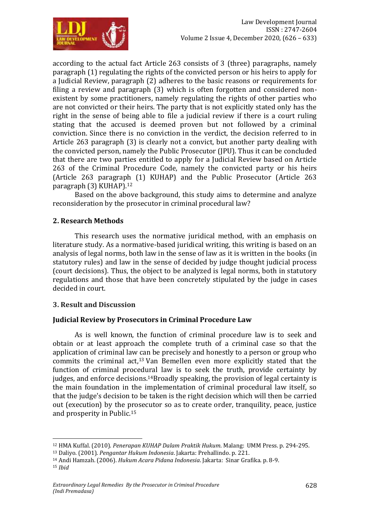

according to the actual fact Article 263 consists of 3 (three) paragraphs, namely paragraph (1) regulating the rights of the convicted person or his heirs to apply for a Judicial Review, paragraph (2) adheres to the basic reasons or requirements for filing a review and paragraph (3) which is often forgotten and considered nonexistent by some practitioners, namely regulating the rights of other parties who are not convicted or their heirs. The party that is not explicitly stated only has the right in the sense of being able to file a judicial review if there is a court ruling stating that the accused is deemed proven but not followed by a criminal conviction. Since there is no conviction in the verdict, the decision referred to in Article 263 paragraph (3) is clearly not a convict, but another party dealing with the convicted person, namely the Public Prosecutor (JPU). Thus it can be concluded that there are two parties entitled to apply for a Judicial Review based on Article 263 of the Criminal Procedure Code, namely the convicted party or his heirs (Article 263 paragraph (1) KUHAP) and the Public Prosecutor (Article 263 paragraph (3) KUHAP).<sup>12</sup>

Based on the above background, this study aims to determine and analyze reconsideration by the prosecutor in criminal procedural law?

### **2. Research Methods**

This research uses the normative juridical method, with an emphasis on literature study. As a normative-based juridical writing, this writing is based on an analysis of legal norms, both law in the sense of law as it is written in the books (in statutory rules) and law in the sense of decided by judge thought judicial process (court decisions). Thus, the object to be analyzed is legal norms, both in statutory regulations and those that have been concretely stipulated by the judge in cases decided in court.

### **3. Result and Discussion**

1

### **Judicial Review by Prosecutors in Criminal Procedure Law**

As is well known, the function of criminal procedure law is to seek and obtain or at least approach the complete truth of a criminal case so that the application of criminal law can be precisely and honestly to a person or group who commits the criminal act,<sup>13</sup> Van Bemellen even more explicitly stated that the function of criminal procedural law is to seek the truth, provide certainty by judges, and enforce decisions.14Broadly speaking, the provision of legal certainty is the main foundation in the implementation of criminal procedural law itself, so that the judge's decision to be taken is the right decision which will then be carried out (execution) by the prosecutor so as to create order, tranquility, peace, justice and prosperity in Public.<sup>15</sup>

<sup>12</sup> HMA Kuffal. (2010). *Penerapan KUHAP Dalam Praktik Hukum*. Malang: UMM Press. p. 294-295.

<sup>13</sup> Daliyo. (2001). *Pengantar Hukum Indonesia*. Jakarta: Prehallindo. p. 221.

<sup>14</sup> Andi Hamzah. (2006). *Hukum Acara Pidana Indonesia*. Jakarta: Sinar Grafika. p. 8-9. <sup>15</sup> *Ibid*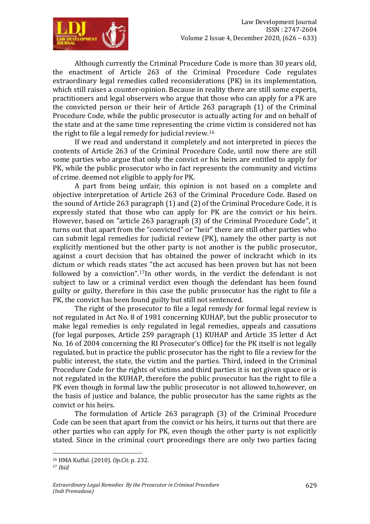

Although currently the Criminal Procedure Code is more than 30 years old, the enactment of Article 263 of the Criminal Procedure Code regulates extraordinary legal remedies called reconsiderations (PK) in its implementation, which still raises a counter-opinion. Because in reality there are still some experts, practitioners and legal observers who argue that those who can apply for a PK are the convicted person or their heir of Article 263 paragraph (1) of the Criminal Procedure Code, while the public prosecutor is actually acting for and on behalf of the state and at the same time representing the crime victim is considered not has the right to file a legal remedy for judicial review.<sup>16</sup>

If we read and understand it completely and not interpreted in pieces the contents of Article 263 of the Criminal Procedure Code, until now there are still some parties who argue that only the convict or his heirs are entitled to apply for PK, while the public prosecutor who in fact represents the community and victims of crime. deemed not eligible to apply for PK.

A part from being unfair, this opinion is not based on a complete and objective interpretation of Article 263 of the Criminal Procedure Code. Based on the sound of Article 263 paragraph (1) and (2) of the Criminal Procedure Code, it is expressly stated that those who can apply for PK are the convict or his heirs. However, based on "article 263 paragraph (3) of the Criminal Procedure Code", it turns out that apart from the "convicted" or "heir" there are still other parties who can submit legal remedies for judicial review (PK), namely the other party is not explicitly mentioned but the other party is not another is the public prosecutor, against a court decision that has obtained the power of inckracht which in its dictum or which reads states "the act accused has been proven but has not been followed by a conviction".17In other words, in the verdict the defendant is not subject to law or a criminal verdict even though the defendant has been found guilty or guilty, therefore in this case the public prosecutor has the right to file a PK, the convict has been found guilty but still not sentenced.

The right of the prosecutor to file a legal remedy for formal legal review is not regulated in Act No. 8 of 1981 concerning KUHAP, but the public prosecutor to make legal remedies is only regulated in legal remedies, appeals and cassations (for legal purposes, Article 259 paragraph (1) KUHAP and Article 35 letter d Act No. 16 of 2004 concerning the RI Prosecutor's Office) for the PK itself is not legally regulated, but in practice the public prosecutor has the right to file a review for the public interest, the state, the victim and the parties. Third, indeed in the Criminal Procedure Code for the rights of victims and third parties it is not given space or is not regulated in the KUHAP, therefore the public prosecutor has the right to file a PK even though in formal law the public prosecutor is not allowed to,however, on the basis of justice and balance, the public prosecutor has the same rights as the convict or his heirs.

The formulation of Article 263 paragraph (3) of the Criminal Procedure Code can be seen that apart from the convict or his heirs, it turns out that there are other parties who can apply for PK, even though the other party is not explicitly stated. Since in the criminal court proceedings there are only two parties facing

<sup>16</sup> HMA Kuffal. (2010). *Op.Cit*. p. 232.

<sup>17</sup> *Ibid*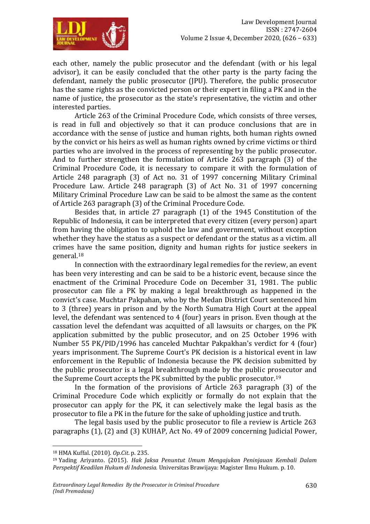

each other, namely the public prosecutor and the defendant (with or his legal advisor), it can be easily concluded that the other party is the party facing the defendant, namely the public prosecutor (JPU). Therefore, the public prosecutor has the same rights as the convicted person or their expert in filing a PK and in the name of justice, the prosecutor as the state's representative, the victim and other interested parties.

Article 263 of the Criminal Procedure Code, which consists of three verses, is read in full and objectively so that it can produce conclusions that are in accordance with the sense of justice and human rights, both human rights owned by the convict or his heirs as well as human rights owned by crime victims or third parties who are involved in the process of representing by the public prosecutor. And to further strengthen the formulation of Article 263 paragraph (3) of the Criminal Procedure Code, it is necessary to compare it with the formulation of Article 248 paragraph (3) of Act no. 31 of 1997 concerning Military Criminal Procedure Law. Article 248 paragraph (3) of Act No. 31 of 1997 concerning Military Criminal Procedure Law can be said to be almost the same as the content of Article 263 paragraph (3) of the Criminal Procedure Code.

Besides that, in article 27 paragraph (1) of the 1945 Constitution of the Republic of Indonesia, it can be interpreted that every citizen (every person) apart from having the obligation to uphold the law and government, without exception whether they have the status as a suspect or defendant or the status as a victim. all crimes have the same position, dignity and human rights for justice seekers in general.<sup>18</sup>

In connection with the extraordinary legal remedies for the review, an event has been very interesting and can be said to be a historic event, because since the enactment of the Criminal Procedure Code on December 31, 1981. The public prosecutor can file a PK by making a legal breakthrough as happened in the convict's case. Muchtar Pakpahan, who by the Medan District Court sentenced him to 3 (three) years in prison and by the North Sumatra High Court at the appeal level, the defendant was sentenced to 4 (four) years in prison. Even though at the cassation level the defendant was acquitted of all lawsuits or charges, on the PK application submitted by the public prosecutor, and on 25 October 1996 with Number 55 PK/PID/1996 has canceled Muchtar Pakpakhan's verdict for 4 (four) years imprisonment. The Supreme Court's PK decision is a historical event in law enforcement in the Republic of Indonesia because the PK decision submitted by the public prosecutor is a legal breakthrough made by the public prosecutor and the Supreme Court accepts the PK submitted by the public prosecutor.<sup>19</sup>

In the formation of the provisions of Article 263 paragraph (3) of the Criminal Procedure Code which explicitly or formally do not explain that the prosecutor can apply for the PK, it can selectively make the legal basis as the prosecutor to file a PK in the future for the sake of upholding justice and truth.

The legal basis used by the public prosecutor to file a review is Article 263 paragraphs (1), (2) and (3) KUHAP, Act No. 49 of 2009 concerning Judicial Power,

<sup>18</sup> HMA Kuffal. (2010). *Op.Cit*. p. 235.

<sup>19</sup> Yading Ariyanto. (2015). *Hak Jaksa Penuntut Umum Mengajukan Peninjauan Kembali Dalam Perspektif Keadilan Hukum di Indonesia.* Universitas Brawijaya: Magister Ilmu Hukum. p. 10.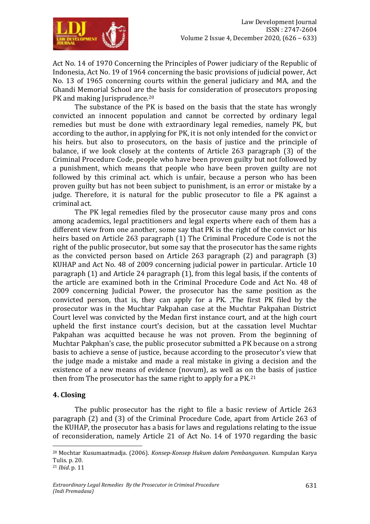

Act No. 14 of 1970 Concerning the Principles of Power judiciary of the Republic of Indonesia, Act No. 19 of 1964 concerning the basic provisions of judicial power, Act No. 13 of 1965 concerning courts within the general judiciary and MA, and the Ghandi Memorial School are the basis for consideration of prosecutors proposing PK and making Jurisprudence.<sup>20</sup>

The substance of the PK is based on the basis that the state has wrongly convicted an innocent population and cannot be corrected by ordinary legal remedies but must be done with extraordinary legal remedies, namely PK, but according to the author, in applying for PK, it is not only intended for the convict or his heirs. but also to prosecutors, on the basis of justice and the principle of balance, if we look closely at the contents of Article 263 paragraph (3) of the Criminal Procedure Code, people who have been proven guilty but not followed by a punishment, which means that people who have been proven guilty are not followed by this criminal act. which is unfair, because a person who has been proven guilty but has not been subject to punishment, is an error or mistake by a judge. Therefore, it is natural for the public prosecutor to file a PK against a criminal act.

The PK legal remedies filed by the prosecutor cause many pros and cons among academics, legal practitioners and legal experts where each of them has a different view from one another, some say that PK is the right of the convict or his heirs based on Article 263 paragraph (1) The Criminal Procedure Code is not the right of the public prosecutor, but some say that the prosecutor has the same rights as the convicted person based on Article 263 paragraph (2) and paragraph (3) KUHAP and Act No. 48 of 2009 concerning judicial power in particular. Article 10 paragraph (1) and Article 24 paragraph (1), from this legal basis, if the contents of the article are examined both in the Criminal Procedure Code and Act No. 48 of 2009 concerning Judicial Power, the prosecutor has the same position as the convicted person, that is, they can apply for a PK. ,The first PK filed by the prosecutor was in the Muchtar Pakpahan case at the Muchtar Pakpahan District Court level was convicted by the Medan first instance court, and at the high court upheld the first instance court's decision, but at the cassation level Muchtar Pakpahan was acquitted because he was not proven. From the beginning of Muchtar Pakphan's case, the public prosecutor submitted a PK because on a strong basis to achieve a sense of justice, because according to the prosecutor's view that the judge made a mistake and made a real mistake in giving a decision and the existence of a new means of evidence (novum), as well as on the basis of justice then from The prosecutor has the same right to apply for a PK.<sup>21</sup>

### **4. Closing**

The public prosecutor has the right to file a basic review of Article 263 paragraph (2) and (3) of the Criminal Procedure Code, apart from Article 263 of the KUHAP, the prosecutor has a basis for laws and regulations relating to the issue of reconsideration, namely Article 21 of Act No. 14 of 1970 regarding the basic

<sup>20</sup> Mochtar Kusumaatmadja. (2006). *Konsep-Konsep Hukum dalam Pembangunan*. Kumpulan Karya Tulis. p. 20.

<sup>21</sup> *Ibid*. p. 11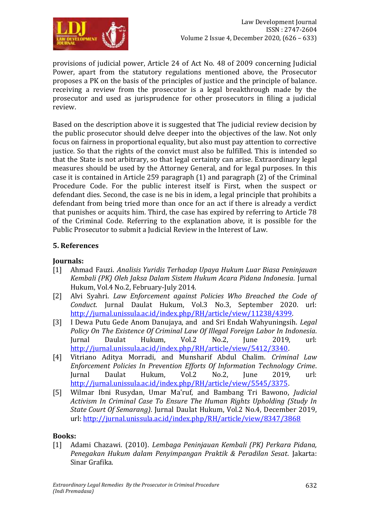

provisions of judicial power, Article 24 of Act No. 48 of 2009 concerning Judicial Power, apart from the statutory regulations mentioned above, the Prosecutor proposes a PK on the basis of the principles of justice and the principle of balance. receiving a review from the prosecutor is a legal breakthrough made by the prosecutor and used as jurisprudence for other prosecutors in filing a judicial review.

Based on the description above it is suggested that The judicial review decision by the public prosecutor should delve deeper into the objectives of the law. Not only focus on fairness in proportional equality, but also must pay attention to corrective justice. So that the rights of the convict must also be fulfilled. This is intended so that the State is not arbitrary, so that legal certainty can arise. Extraordinary legal measures should be used by the Attorney General, and for legal purposes. In this case it is contained in Article 259 paragraph (1) and paragraph (2) of the Criminal Procedure Code. For the public interest itself is First, when the suspect or defendant dies. Second, the case is ne bis in idem, a legal principle that prohibits a defendant from being tried more than once for an act if there is already a verdict that punishes or acquits him. Third, the case has expired by referring to Article 78 of the Criminal Code. Referring to the explanation above, it is possible for the Public Prosecutor to submit a Judicial Review in the Interest of Law.

# **5. References**

## **Journals:**

- [1] Ahmad Fauzi. *Analisis Yuridis Terhadap Upaya Hukum Luar Biasa Peninjauan Kembali (PK) Oleh Jaksa Dalam Sistem Hukum Acara Pidana Indonesia*. Jurnal Hukum, Vol.4 No.2, February-July 2014.
- [2] Alvi Syahri. *Law Enforcement against Policies Who Breached the Code of Conduct*. Jurnal Daulat Hukum, Vol.3 No.3, September 2020. url: [http://jurnal.unissula.ac.id/index.php/RH/article/view/11238/4399.](http://jurnal.unissula.ac.id/index.php/RH/article/view/11238/4399)
- [3] I Dewa Putu Gede Anom Danujaya, and and Sri Endah Wahyuningsih. *Legal Policy On The Existence Of Criminal Law Of Illegal Foreign Labor In Indonesia*. Jurnal Daulat Hukum, Vol.2 No.2, June 2019, url: [http://jurnal.unissula.ac.id/index.php/RH/article/view/5412/3340.](http://jurnal.unissula.ac.id/index.php/RH/article/view/5412/3340)
- [4] Vitriano Aditya Morradi, and Munsharif Abdul Chalim. *Criminal Law Enforcement Policies In Prevention Efforts Of Information Technology Crime*. Jurnal Daulat Hukum, Vol.2 No.2, June 2019, url: [http://jurnal.unissula.ac.id/index.php/RH/article/view/5545/3375.](http://jurnal.unissula.ac.id/index.php/RH/article/view/5545/3375)
- [5] Wilmar Ibni Rusydan, Umar Ma'ruf, and Bambang Tri Bawono, *Judicial Activism In Criminal Case To Ensure The Human Rights Upholding (Study In State Court Of Semarang)*. Jurnal Daulat Hukum, Vol.2 No.4, December 2019, url:<http://jurnal.unissula.ac.id/index.php/RH/article/view/8347/3868>

### **Books:**

[1] Adami Chazawi. (2010). *Lembaga Peninjauan Kembali (PK) Perkara Pidana, Penegakan Hukum dalam Penyimpangan Praktik & Peradilan Sesat*. Jakarta: Sinar Grafika.